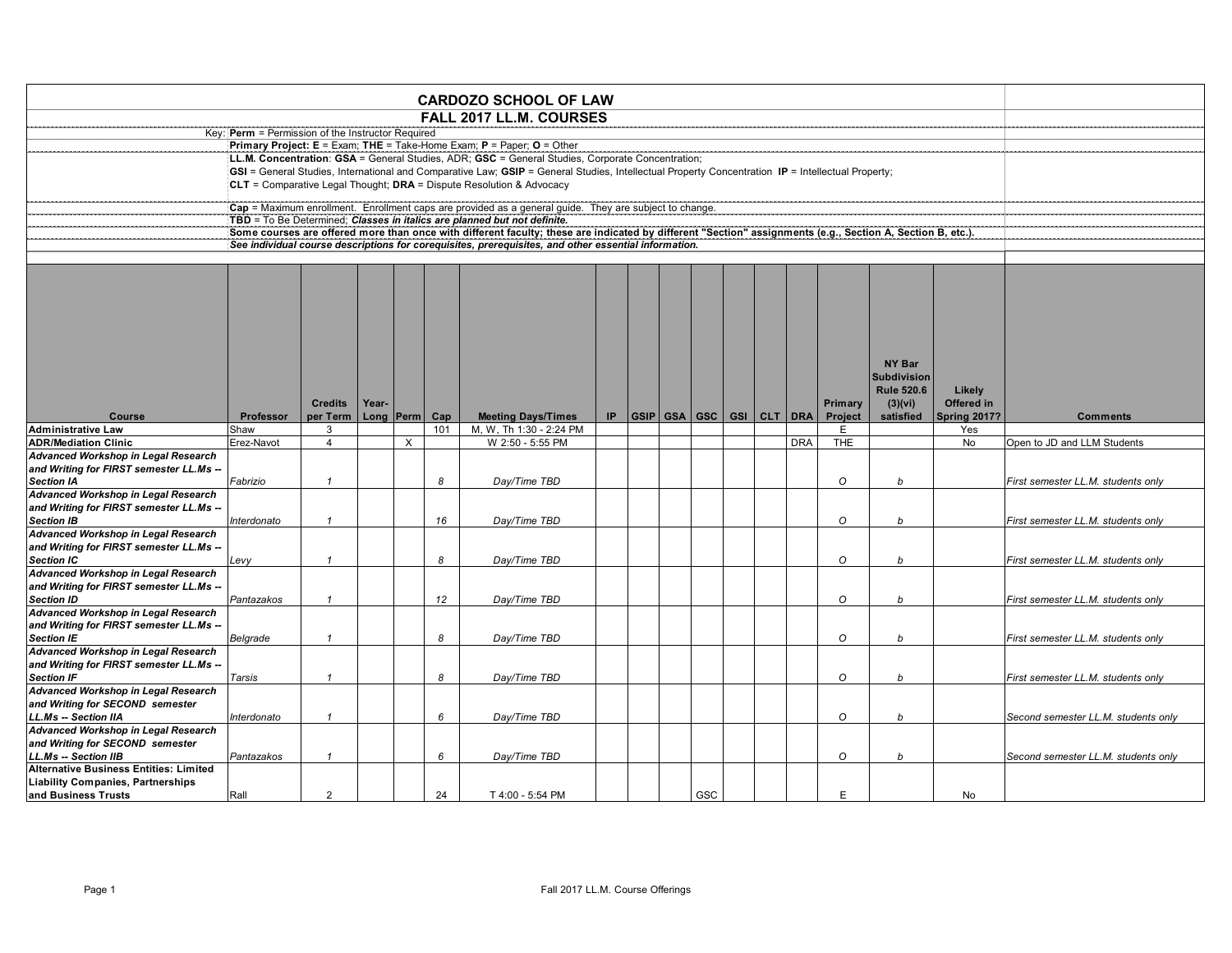|                                               |                                                                                                                                                                                                                                                                                                                                                    |                                                                     |  |  |    | <b>CARDOZO SCHOOL OF LAW</b>                                                                                                                               |  |  |  |     |  |  |  |         |             |    |                                     |
|-----------------------------------------------|----------------------------------------------------------------------------------------------------------------------------------------------------------------------------------------------------------------------------------------------------------------------------------------------------------------------------------------------------|---------------------------------------------------------------------|--|--|----|------------------------------------------------------------------------------------------------------------------------------------------------------------|--|--|--|-----|--|--|--|---------|-------------|----|-------------------------------------|
|                                               |                                                                                                                                                                                                                                                                                                                                                    |                                                                     |  |  |    | <b>FALL 2017 LL.M. COURSES</b>                                                                                                                             |  |  |  |     |  |  |  |         |             |    |                                     |
|                                               | Key: Perm = Permission of the Instructor Required                                                                                                                                                                                                                                                                                                  |                                                                     |  |  |    |                                                                                                                                                            |  |  |  |     |  |  |  |         |             |    |                                     |
|                                               |                                                                                                                                                                                                                                                                                                                                                    |                                                                     |  |  |    | Primary Project: $E = Exam$ ; THE = Take-Home Exam; P = Paper; O = Other                                                                                   |  |  |  |     |  |  |  |         |             |    |                                     |
|                                               |                                                                                                                                                                                                                                                                                                                                                    |                                                                     |  |  |    | LL.M. Concentration: GSA = General Studies, ADR; GSC = General Studies, Corporate Concentration;                                                           |  |  |  |     |  |  |  |         |             |    |                                     |
|                                               |                                                                                                                                                                                                                                                                                                                                                    |                                                                     |  |  |    | GSI = General Studies, International and Comparative Law; GSIP = General Studies, Intellectual Property Concentration IP = Intellectual Property;          |  |  |  |     |  |  |  |         |             |    |                                     |
|                                               |                                                                                                                                                                                                                                                                                                                                                    |                                                                     |  |  |    | CLT = Comparative Legal Thought; $DRA =$ Dispute Resolution & Advocacy                                                                                     |  |  |  |     |  |  |  |         |             |    |                                     |
|                                               |                                                                                                                                                                                                                                                                                                                                                    |                                                                     |  |  |    | Cap = Maximum enrollment. Enrollment caps are provided as a general guide. They are subject to change.                                                     |  |  |  |     |  |  |  |         |             |    |                                     |
|                                               |                                                                                                                                                                                                                                                                                                                                                    |                                                                     |  |  |    | TBD = To Be Determined; Classes in italics are planned but not definite.                                                                                   |  |  |  |     |  |  |  |         |             |    |                                     |
|                                               |                                                                                                                                                                                                                                                                                                                                                    |                                                                     |  |  |    | Some courses are offered more than once with different faculty; these are indicated by different "Section" assignments (e.g., Section A, Section B, etc.). |  |  |  |     |  |  |  |         |             |    |                                     |
|                                               |                                                                                                                                                                                                                                                                                                                                                    |                                                                     |  |  |    | See individual course descriptions for corequisites, prerequisites, and other essential information.                                                       |  |  |  |     |  |  |  |         |             |    |                                     |
|                                               |                                                                                                                                                                                                                                                                                                                                                    |                                                                     |  |  |    |                                                                                                                                                            |  |  |  |     |  |  |  |         |             |    |                                     |
|                                               | NY Bar<br><b>Subdivision</b><br><b>Rule 520.6</b><br>Likely<br>(3)(vi)<br>Offered in<br><b>Credits</b><br>Year-<br>Primary<br> GSIP GSA GSC GSI CLT DRA<br><b>Project</b><br>IP.<br>Spring 2017?<br>Professor<br>per Term<br>Long Perm<br>Cap<br><b>Meeting Days/Times</b><br>satisfied<br>M, W, Th 1:30 - 2:24 PM<br>Shaw<br>3<br>101<br>E<br>Yes |                                                                     |  |  |    |                                                                                                                                                            |  |  |  |     |  |  |  |         |             |    |                                     |
| Course                                        |                                                                                                                                                                                                                                                                                                                                                    |                                                                     |  |  |    |                                                                                                                                                            |  |  |  |     |  |  |  |         |             |    | <b>Comments</b>                     |
| <b>Administrative Law</b>                     |                                                                                                                                                                                                                                                                                                                                                    |                                                                     |  |  |    |                                                                                                                                                            |  |  |  |     |  |  |  |         |             |    |                                     |
| <b>ADR/Mediation Clinic</b>                   | Erez-Navot                                                                                                                                                                                                                                                                                                                                         | $\times$<br>W 2:50 - 5:55 PM<br>THE<br>$\overline{4}$<br><b>DRA</b> |  |  |    |                                                                                                                                                            |  |  |  |     |  |  |  |         |             |    | Open to JD and LLM Students         |
| Advanced Workshop in Legal Research           |                                                                                                                                                                                                                                                                                                                                                    | No                                                                  |  |  |    |                                                                                                                                                            |  |  |  |     |  |  |  |         |             |    |                                     |
| and Writing for FIRST semester LL.Ms --       |                                                                                                                                                                                                                                                                                                                                                    |                                                                     |  |  |    |                                                                                                                                                            |  |  |  |     |  |  |  |         |             |    |                                     |
| <b>Section IA</b>                             | Fabrizio                                                                                                                                                                                                                                                                                                                                           | $\mathbf{1}$                                                        |  |  | 8  | Day/Time TBD                                                                                                                                               |  |  |  |     |  |  |  | O       | $\mathbf b$ |    | First semester LL.M. students only  |
| Advanced Workshop in Legal Research           |                                                                                                                                                                                                                                                                                                                                                    |                                                                     |  |  |    |                                                                                                                                                            |  |  |  |     |  |  |  |         |             |    |                                     |
| and Writing for FIRST semester LL.Ms --       |                                                                                                                                                                                                                                                                                                                                                    |                                                                     |  |  |    |                                                                                                                                                            |  |  |  |     |  |  |  |         |             |    |                                     |
| <b>Section IB</b>                             | Interdonato                                                                                                                                                                                                                                                                                                                                        | $\overline{1}$                                                      |  |  | 16 | Day/Time TBD                                                                                                                                               |  |  |  |     |  |  |  | $\circ$ | b           |    | First semester LL.M. students only  |
| <b>Advanced Workshop in Legal Research</b>    |                                                                                                                                                                                                                                                                                                                                                    |                                                                     |  |  |    |                                                                                                                                                            |  |  |  |     |  |  |  |         |             |    |                                     |
| and Writing for FIRST semester LL.Ms --       |                                                                                                                                                                                                                                                                                                                                                    |                                                                     |  |  |    |                                                                                                                                                            |  |  |  |     |  |  |  |         |             |    |                                     |
| <b>Section IC</b>                             | Levy                                                                                                                                                                                                                                                                                                                                               | $\overline{1}$                                                      |  |  | 8  | Day/Time TBD                                                                                                                                               |  |  |  |     |  |  |  | $\circ$ | $\mathbf b$ |    | First semester LL.M. students only  |
| Advanced Workshop in Legal Research           |                                                                                                                                                                                                                                                                                                                                                    |                                                                     |  |  |    |                                                                                                                                                            |  |  |  |     |  |  |  |         |             |    |                                     |
| and Writing for FIRST semester LL.Ms --       |                                                                                                                                                                                                                                                                                                                                                    |                                                                     |  |  |    |                                                                                                                                                            |  |  |  |     |  |  |  |         |             |    |                                     |
| <b>Section ID</b>                             | Pantazakos                                                                                                                                                                                                                                                                                                                                         | $\overline{1}$                                                      |  |  | 12 | Day/Time TBD                                                                                                                                               |  |  |  |     |  |  |  | $\circ$ | b           |    | First semester LL.M. students only  |
| <b>Advanced Workshop in Legal Research</b>    |                                                                                                                                                                                                                                                                                                                                                    |                                                                     |  |  |    |                                                                                                                                                            |  |  |  |     |  |  |  |         |             |    |                                     |
| and Writing for FIRST semester LL.Ms --       |                                                                                                                                                                                                                                                                                                                                                    |                                                                     |  |  |    |                                                                                                                                                            |  |  |  |     |  |  |  |         |             |    |                                     |
| <b>Section IE</b>                             | Belgrade                                                                                                                                                                                                                                                                                                                                           | $\overline{1}$                                                      |  |  | 8  | Day/Time TBD                                                                                                                                               |  |  |  |     |  |  |  | $\circ$ | $\mathbf b$ |    | First semester LL.M. students only  |
| Advanced Workshop in Legal Research           |                                                                                                                                                                                                                                                                                                                                                    |                                                                     |  |  |    |                                                                                                                                                            |  |  |  |     |  |  |  |         |             |    |                                     |
|                                               |                                                                                                                                                                                                                                                                                                                                                    |                                                                     |  |  |    |                                                                                                                                                            |  |  |  |     |  |  |  |         |             |    |                                     |
| and Writing for FIRST semester LL.Ms --       |                                                                                                                                                                                                                                                                                                                                                    | $\overline{1}$                                                      |  |  |    |                                                                                                                                                            |  |  |  |     |  |  |  |         |             |    |                                     |
| <b>Section IF</b>                             | Tarsis                                                                                                                                                                                                                                                                                                                                             |                                                                     |  |  | 8  | Day/Time TBD                                                                                                                                               |  |  |  |     |  |  |  | O       | h           |    | First semester LL.M. students only  |
| <b>Advanced Workshop in Legal Research</b>    |                                                                                                                                                                                                                                                                                                                                                    |                                                                     |  |  |    |                                                                                                                                                            |  |  |  |     |  |  |  |         |             |    |                                     |
| and Writing for SECOND semester               |                                                                                                                                                                                                                                                                                                                                                    |                                                                     |  |  |    |                                                                                                                                                            |  |  |  |     |  |  |  |         |             |    |                                     |
| LL.Ms -- Section IIA                          | Interdonato                                                                                                                                                                                                                                                                                                                                        | $\mathbf{1}$                                                        |  |  | 6  | Day/Time TBD                                                                                                                                               |  |  |  |     |  |  |  | $\circ$ | h           |    | Second semester LL.M. students only |
| <b>Advanced Workshop in Legal Research</b>    |                                                                                                                                                                                                                                                                                                                                                    |                                                                     |  |  |    |                                                                                                                                                            |  |  |  |     |  |  |  |         |             |    |                                     |
| and Writing for SECOND semester               |                                                                                                                                                                                                                                                                                                                                                    |                                                                     |  |  |    |                                                                                                                                                            |  |  |  |     |  |  |  |         |             |    |                                     |
| LL.Ms -- Section IIB                          | Pantazakos                                                                                                                                                                                                                                                                                                                                         | $\overline{1}$                                                      |  |  | 6  | Day/Time TBD                                                                                                                                               |  |  |  |     |  |  |  | $\circ$ | b           |    | Second semester LL.M. students only |
| <b>Alternative Business Entities: Limited</b> |                                                                                                                                                                                                                                                                                                                                                    |                                                                     |  |  |    |                                                                                                                                                            |  |  |  |     |  |  |  |         |             |    |                                     |
| <b>Liability Companies, Partnerships</b>      |                                                                                                                                                                                                                                                                                                                                                    |                                                                     |  |  |    |                                                                                                                                                            |  |  |  |     |  |  |  |         |             |    |                                     |
| and Business Trusts                           | Rall                                                                                                                                                                                                                                                                                                                                               | $\overline{2}$                                                      |  |  | 24 | T 4:00 - 5:54 PM                                                                                                                                           |  |  |  | GSC |  |  |  | E       |             | No |                                     |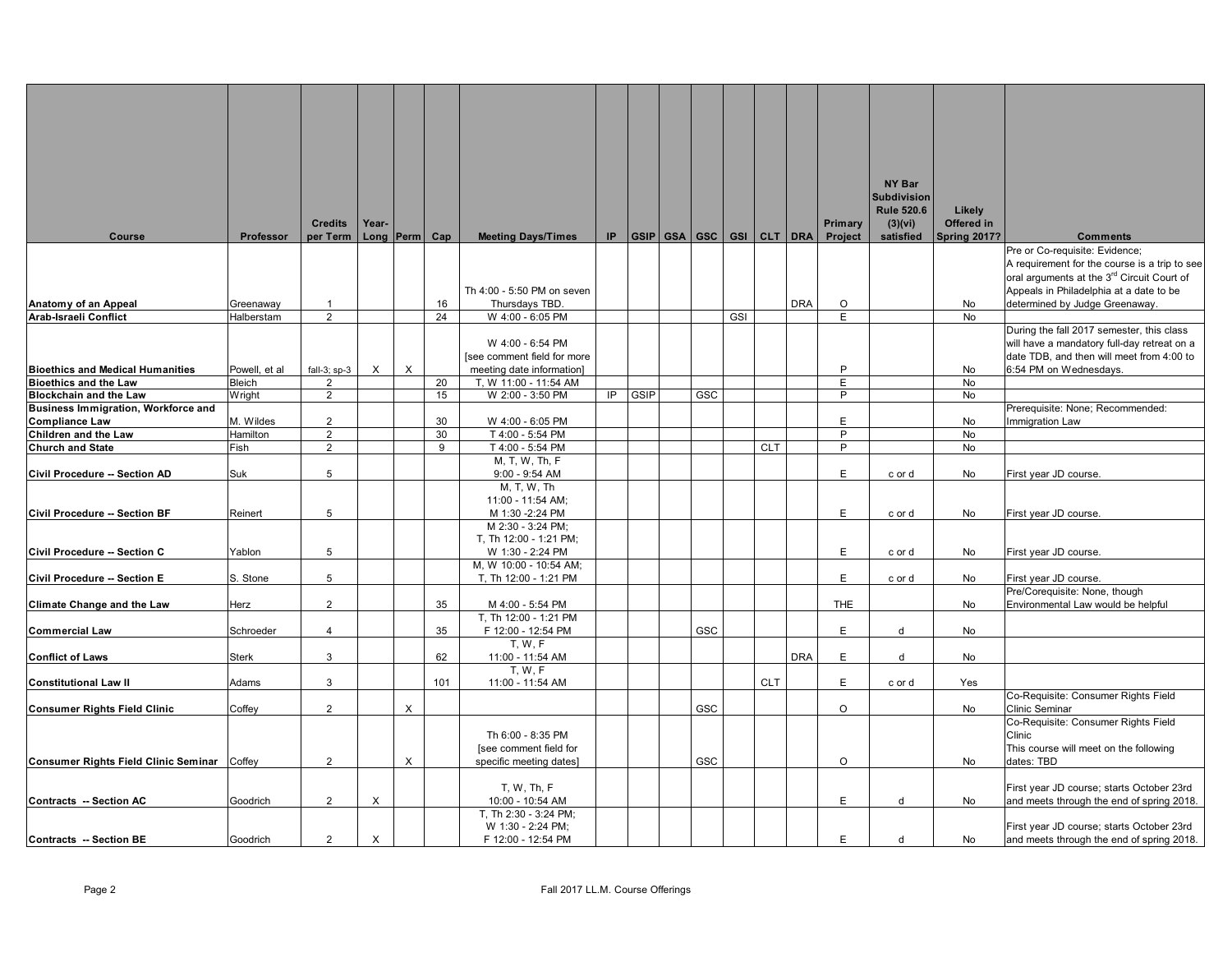|                                             |                |                |          |                   |     |                                    |     |      |     |            |            |                          |            | NY Bar             |                     |                                                        |
|---------------------------------------------|----------------|----------------|----------|-------------------|-----|------------------------------------|-----|------|-----|------------|------------|--------------------------|------------|--------------------|---------------------|--------------------------------------------------------|
|                                             |                |                |          |                   |     |                                    |     |      |     |            |            |                          |            | <b>Subdivision</b> |                     |                                                        |
|                                             |                |                |          |                   |     |                                    |     |      |     |            |            |                          |            | <b>Rule 520.6</b>  | Likely              |                                                        |
|                                             |                | <b>Credits</b> | Year-    |                   |     |                                    |     |      |     |            |            |                          | Primary    | (3)(vi)            | Offered in          |                                                        |
| <b>Course</b>                               | Professor      | per Term       |          | Long $ Perm $ Cap |     | <b>Meeting Days/Times</b>          | IP. |      |     |            |            | GSIP GSA GSC GSI CLT DRA | Project    | satisfied          | <b>Spring 2017?</b> | <b>Comments</b>                                        |
|                                             |                |                |          |                   |     |                                    |     |      |     |            |            |                          |            |                    |                     | Pre or Co-requisite: Evidence;                         |
|                                             |                |                |          |                   |     |                                    |     |      |     |            |            |                          |            |                    |                     | A requirement for the course is a trip to see          |
|                                             |                |                |          |                   |     |                                    |     |      |     |            |            |                          |            |                    |                     | oral arguments at the 3 <sup>rd</sup> Circuit Court of |
|                                             |                |                |          |                   |     | Th 4:00 - 5:50 PM on seven         |     |      |     |            |            |                          |            |                    |                     | Appeals in Philadelphia at a date to be                |
| Anatomy of an Appeal                        | Greenaway      | $\mathbf{1}$   |          |                   | 16  | Thursdays TBD.                     |     |      |     |            |            | <b>DRA</b>               | $\circ$    |                    | No                  | determined by Judge Greenaway.                         |
| Arab-Israeli Conflict                       | Halberstam     | $\overline{2}$ |          |                   | 24  | W 4:00 - 6:05 PM                   |     |      |     | <b>GSI</b> |            |                          | E          |                    | No                  |                                                        |
|                                             |                |                |          |                   |     |                                    |     |      |     |            |            |                          |            |                    |                     | During the fall 2017 semester, this class              |
|                                             |                |                |          |                   |     | W 4:00 - 6:54 PM                   |     |      |     |            |            |                          |            |                    |                     | will have a mandatory full-day retreat on a            |
|                                             |                |                |          |                   |     | [see comment field for more        |     |      |     |            |            |                          |            |                    |                     | date TDB, and then will meet from 4:00 to              |
| <b>Bioethics and Medical Humanities</b>     | Powell, et al  | fall-3; $sp-3$ | X        | $\times$          |     | meeting date information]          |     |      |     |            |            |                          | P          |                    | No                  | 6:54 PM on Wednesdays.                                 |
| <b>Bioethics and the Law</b>                | Bleich         | $\overline{2}$ |          |                   | 20  | T, W 11:00 - 11:54 AM              |     |      |     |            |            |                          | E          |                    | No                  |                                                        |
| <b>Blockchain and the Law</b>               | <b>W</b> right | $\overline{2}$ |          |                   | 15  | W 2:00 - 3:50 PM                   | IP  | GSIP | GSC |            |            |                          | P          |                    | No                  |                                                        |
| Business Immigration, Workforce and         |                |                |          |                   |     |                                    |     |      |     |            |            |                          |            |                    |                     | Prerequisite: None; Recommended:                       |
| <b>Compliance Law</b>                       | M. Wildes      | $\overline{2}$ |          |                   | 30  | W 4:00 - 6:05 PM                   |     |      |     |            |            |                          | E          |                    | No                  | Immigration Law                                        |
| Children and the Law                        | Hamilton       | $\overline{2}$ |          |                   | 30  | T 4:00 - 5:54 PM                   |     |      |     |            |            |                          | P<br>P     |                    | No                  |                                                        |
| <b>Church and State</b>                     | Fish           | $\overline{2}$ |          |                   | 9   | T 4:00 - 5:54 PM<br>M, T, W, Th, F |     |      |     |            | <b>CLT</b> |                          |            |                    | No                  |                                                        |
| Civil Procedure -- Section AD               | Suk            | 5              |          |                   |     | $9:00 - 9:54$ AM                   |     |      |     |            |            |                          | E          | c or d             | No                  | First year JD course.                                  |
|                                             |                |                |          |                   |     | M, T, W, Th                        |     |      |     |            |            |                          |            |                    |                     |                                                        |
|                                             |                |                |          |                   |     | 11:00 - 11:54 AM;                  |     |      |     |            |            |                          |            |                    |                     |                                                        |
| Civil Procedure -- Section BF               | Reinert        | 5              |          |                   |     | M 1:30 -2:24 PM                    |     |      |     |            |            |                          | E          | c or d             | No                  | First year JD course.                                  |
|                                             |                |                |          |                   |     | M 2:30 - 3:24 PM;                  |     |      |     |            |            |                          |            |                    |                     |                                                        |
|                                             |                |                |          |                   |     | T, Th 12:00 - 1:21 PM;             |     |      |     |            |            |                          |            |                    |                     |                                                        |
| Civil Procedure -- Section C                | Yablon         | 5              |          |                   |     | W 1:30 - 2:24 PM                   |     |      |     |            |            |                          | E          | c or d             | No                  | First year JD course.                                  |
|                                             |                |                |          |                   |     | M, W 10:00 - 10:54 AM;             |     |      |     |            |            |                          |            |                    |                     |                                                        |
| <b>Civil Procedure -- Section E</b>         | S. Stone       | 5              |          |                   |     | T, Th 12:00 - 1:21 PM              |     |      |     |            |            |                          | E          | c or d             | No                  | First year JD course.                                  |
|                                             |                |                |          |                   |     |                                    |     |      |     |            |            |                          |            |                    |                     | Pre/Corequisite: None, though                          |
| <b>Climate Change and the Law</b>           | Herz           | $\overline{2}$ |          |                   | 35  | M 4:00 - 5:54 PM                   |     |      |     |            |            |                          | <b>THE</b> |                    | No                  | Environmental Law would be helpful                     |
|                                             |                |                |          |                   |     | T, Th 12:00 - 1:21 PM              |     |      |     |            |            |                          |            |                    |                     |                                                        |
| <b>Commercial Law</b>                       | Schroeder      | $\overline{4}$ |          |                   | 35  | F 12:00 - 12:54 PM                 |     |      | GSC |            |            |                          | E          | d                  | No                  |                                                        |
|                                             |                |                |          |                   |     | <b>T. W. F</b>                     |     |      |     |            |            |                          |            |                    |                     |                                                        |
| <b>Conflict of Laws</b>                     | <b>Sterk</b>   | 3              |          |                   | 62  | 11:00 - 11:54 AM                   |     |      |     |            |            | <b>DRA</b>               | E          | d                  | No                  |                                                        |
|                                             |                |                |          |                   |     | <b>T. W. F.</b>                    |     |      |     |            |            |                          |            |                    |                     |                                                        |
| <b>Constitutional Law II</b>                | Adams          | 3              |          |                   | 101 | 11:00 - 11:54 AM                   |     |      |     |            | <b>CLT</b> |                          | E          | c or d             | Yes                 |                                                        |
|                                             |                |                |          |                   |     |                                    |     |      |     |            |            |                          |            |                    |                     | Co-Requisite: Consumer Rights Field                    |
| <b>Consumer Rights Field Clinic</b>         | Coffey         | $\overline{2}$ |          | $\times$          |     |                                    |     |      | GSC |            |            |                          | $\circ$    |                    | No                  | Clinic Seminar                                         |
|                                             |                |                |          |                   |     |                                    |     |      |     |            |            |                          |            |                    |                     | Co-Requisite: Consumer Rights Field                    |
|                                             |                |                |          |                   |     | Th 6:00 - 8:35 PM                  |     |      |     |            |            |                          |            |                    |                     | Clinic                                                 |
|                                             |                | $\overline{2}$ |          |                   |     | [see comment field for             |     |      | GSC |            |            |                          | O          |                    |                     | This course will meet on the following                 |
| Consumer Rights Field Clinic Seminar Coffey |                |                |          | X                 |     | specific meeting dates]            |     |      |     |            |            |                          |            |                    | No                  | dates: TBD                                             |
|                                             |                |                |          |                   |     | T, W, Th, F                        |     |      |     |            |            |                          |            |                    |                     | First year JD course; starts October 23rd              |
| Contracts -- Section AC                     | Goodrich       | $\overline{2}$ | $\times$ |                   |     | 10:00 - 10:54 AM                   |     |      |     |            |            |                          | E          | d                  | No                  | and meets through the end of spring 2018.              |
|                                             |                |                |          |                   |     | T, Th 2:30 - 3:24 PM;              |     |      |     |            |            |                          |            |                    |                     |                                                        |
|                                             |                |                |          |                   |     | W 1:30 - 2:24 PM;                  |     |      |     |            |            |                          |            |                    |                     | First year JD course; starts October 23rd              |
| Contracts -- Section BE                     | Goodrich       | $\overline{2}$ | $\times$ |                   |     | F 12:00 - 12:54 PM                 |     |      |     |            |            |                          | Ė          | d                  | No                  | and meets through the end of spring 2018.              |
|                                             |                |                |          |                   |     |                                    |     |      |     |            |            |                          |            |                    |                     |                                                        |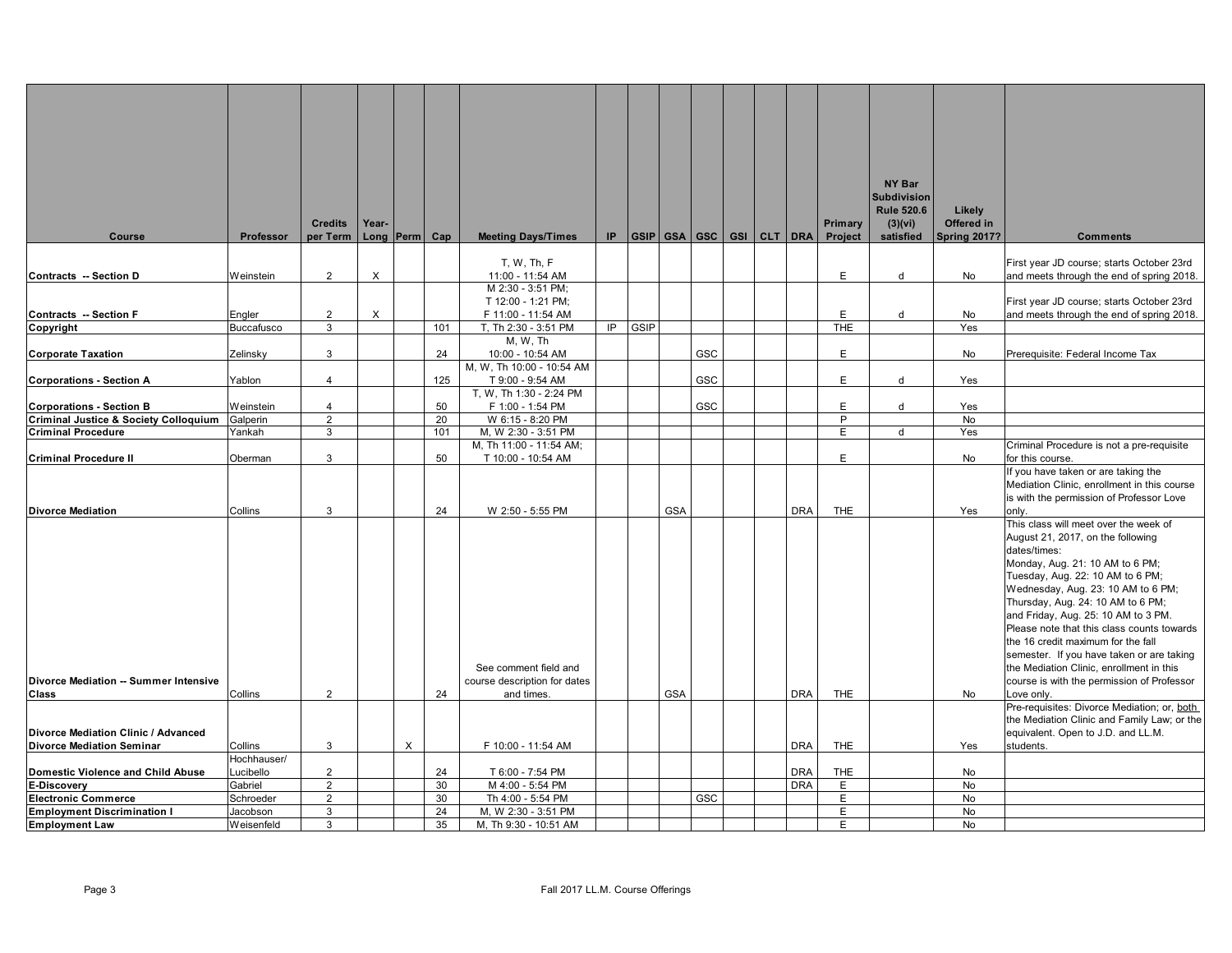|                                              |                             |                            |       |                   |          |                                               |     |      |                          |     |  |            |                    | NY Bar<br><b>Subdivision</b>              |                                             |                                                                            |
|----------------------------------------------|-----------------------------|----------------------------|-------|-------------------|----------|-----------------------------------------------|-----|------|--------------------------|-----|--|------------|--------------------|-------------------------------------------|---------------------------------------------|----------------------------------------------------------------------------|
| Course                                       | Professor                   | <b>Credits</b><br>per Term | Year- | Long $ Perm $ Cap |          | <b>Meeting Days/Times</b>                     | IP. |      | GSIP GSA GSC GSI CLT DRA |     |  |            | Primary<br>Project | <b>Rule 520.6</b><br>(3)(vi)<br>satisfied | Likely<br>Offered in<br><b>Spring 2017?</b> | <b>Comments</b>                                                            |
|                                              |                             |                            |       |                   |          | T. W. Th. F                                   |     |      |                          |     |  |            |                    |                                           |                                             | First year JD course; starts October 23rd                                  |
| Contracts -- Section D                       | Weinstein                   | $\overline{2}$             | X     |                   |          | 11:00 - 11:54 AM                              |     |      |                          |     |  |            | E                  | d                                         | No                                          | and meets through the end of spring 2018.                                  |
|                                              |                             |                            |       |                   |          | M 2:30 - 3:51 PM;                             |     |      |                          |     |  |            |                    |                                           |                                             |                                                                            |
|                                              |                             |                            |       |                   |          | T 12:00 - 1:21 PM;                            |     |      |                          |     |  |            |                    |                                           |                                             | First year JD course; starts October 23rd                                  |
| <b>Contracts -- Section F</b>                | Engler<br><b>Buccafusco</b> | $\overline{2}$<br>3        | X     |                   | 101      | F 11:00 - 11:54 AM<br>T, Th 2:30 - 3:51 PM    | IP  | GSIP |                          |     |  |            | E<br><b>THE</b>    | d                                         | No<br>Yes                                   | and meets through the end of spring 2018.                                  |
| Copyright                                    |                             |                            |       |                   |          | M, W, Th                                      |     |      |                          |     |  |            |                    |                                           |                                             |                                                                            |
| <b>Corporate Taxation</b>                    | Zelinsky                    | 3                          |       |                   | 24       | 10:00 - 10:54 AM                              |     |      |                          | GSC |  |            | E                  |                                           | No                                          | Prerequisite: Federal Income Tax                                           |
|                                              |                             |                            |       |                   |          | M, W, Th 10:00 - 10:54 AM                     |     |      |                          |     |  |            |                    |                                           |                                             |                                                                            |
| <b>Corporations - Section A</b>              | Yablon                      | $\overline{4}$             |       |                   | 125      | T 9:00 - 9:54 AM                              |     |      |                          | GSC |  |            | E                  | d                                         | Yes                                         |                                                                            |
|                                              |                             |                            |       |                   |          | T, W, Th 1:30 - 2:24 PM                       |     |      |                          |     |  |            |                    |                                           |                                             |                                                                            |
| <b>Corporations - Section B</b>              | Weinstein                   | $\overline{4}$             |       |                   | 50       | F 1:00 - 1:54 PM                              |     |      |                          | GSC |  |            | E                  | d                                         | Yes                                         |                                                                            |
| Criminal Justice & Society Colloquium        | Galperin                    | $\overline{2}$             |       |                   | 20       | W 6:15 - 8:20 PM                              |     |      |                          |     |  |            | P                  |                                           | No                                          |                                                                            |
| <b>Criminal Procedure</b>                    | Yankah                      | 3                          |       |                   | 101      | M, W 2:30 - 3:51 PM                           |     |      |                          |     |  |            | E                  | d                                         | Yes                                         |                                                                            |
| <b>Criminal Procedure II</b>                 | Oberman                     | 3                          |       |                   | 50       | M, Th 11:00 - 11:54 AM;<br>T 10:00 - 10:54 AM |     |      |                          |     |  |            | E                  |                                           | No                                          | Criminal Procedure is not a pre-requisite<br>for this course.              |
|                                              |                             |                            |       |                   |          |                                               |     |      |                          |     |  |            |                    |                                           |                                             | If you have taken or are taking the                                        |
|                                              |                             |                            |       |                   |          |                                               |     |      |                          |     |  |            |                    |                                           |                                             | Mediation Clinic, enrollment in this course                                |
|                                              |                             |                            |       |                   |          |                                               |     |      |                          |     |  |            |                    |                                           |                                             | is with the permission of Professor Love                                   |
| <b>Divorce Mediation</b>                     | Collins                     | 3                          |       |                   | 24       | W 2:50 - 5:55 PM                              |     |      | <b>GSA</b>               |     |  | <b>DRA</b> | THE                |                                           | Yes                                         | onlv.                                                                      |
|                                              |                             |                            |       |                   |          |                                               |     |      |                          |     |  |            |                    |                                           |                                             | This class will meet over the week of<br>August 21, 2017, on the following |
|                                              |                             |                            |       |                   |          |                                               |     |      |                          |     |  |            |                    |                                           |                                             | dates/times:                                                               |
|                                              |                             |                            |       |                   |          |                                               |     |      |                          |     |  |            |                    |                                           |                                             | Monday, Aug. 21: 10 AM to 6 PM;                                            |
|                                              |                             |                            |       |                   |          |                                               |     |      |                          |     |  |            |                    |                                           |                                             | Tuesday, Aug. 22: 10 AM to 6 PM;                                           |
|                                              |                             |                            |       |                   |          |                                               |     |      |                          |     |  |            |                    |                                           |                                             | Wednesday, Aug. 23: 10 AM to 6 PM;                                         |
|                                              |                             |                            |       |                   |          |                                               |     |      |                          |     |  |            |                    |                                           |                                             | Thursday, Aug. 24: 10 AM to 6 PM;                                          |
|                                              |                             |                            |       |                   |          |                                               |     |      |                          |     |  |            |                    |                                           |                                             | and Friday, Aug. 25: 10 AM to 3 PM.                                        |
|                                              |                             |                            |       |                   |          |                                               |     |      |                          |     |  |            |                    |                                           |                                             | Please note that this class counts towards                                 |
|                                              |                             |                            |       |                   |          |                                               |     |      |                          |     |  |            |                    |                                           |                                             | the 16 credit maximum for the fall                                         |
|                                              |                             |                            |       |                   |          |                                               |     |      |                          |     |  |            |                    |                                           |                                             | semester. If you have taken or are taking                                  |
| <b>Divorce Mediation -- Summer Intensive</b> |                             |                            |       |                   |          | See comment field and                         |     |      |                          |     |  |            |                    |                                           |                                             | the Mediation Clinic, enrollment in this                                   |
| Class                                        | Collins                     | $\overline{2}$             |       |                   | 24       | course description for dates<br>and times.    |     |      | <b>GSA</b>               |     |  | <b>DRA</b> | <b>THE</b>         |                                           | No                                          | course is with the permission of Professor<br>Love only.                   |
|                                              |                             |                            |       |                   |          |                                               |     |      |                          |     |  |            |                    |                                           |                                             | Pre-requisites: Divorce Mediation; or, both                                |
|                                              |                             |                            |       |                   |          |                                               |     |      |                          |     |  |            |                    |                                           |                                             | the Mediation Clinic and Family Law; or the                                |
| Divorce Mediation Clinic / Advanced          |                             |                            |       |                   |          |                                               |     |      |                          |     |  |            |                    |                                           |                                             | equivalent. Open to J.D. and LL.M.                                         |
| <b>Divorce Mediation Seminar</b>             | Collins                     | 3                          |       | X                 |          | F 10:00 - 11:54 AM                            |     |      |                          |     |  | <b>DRA</b> | THE                |                                           | Yes                                         | students.                                                                  |
|                                              | Hochhauser/                 |                            |       |                   |          |                                               |     |      |                          |     |  |            |                    |                                           |                                             |                                                                            |
| <b>Domestic Violence and Child Abuse</b>     | Lucibello                   | $\overline{2}$             |       |                   | 24       | T 6:00 - 7:54 PM                              |     |      |                          |     |  | <b>DRA</b> | THE                |                                           | No                                          |                                                                            |
| <b>E-Discovery</b><br>Electronic Commerce    | Gabriel                     | $\overline{2}$             |       |                   | 30       | M 4:00 - 5:54 PM                              |     |      |                          |     |  | <b>DRA</b> | E                  |                                           | No                                          |                                                                            |
| <b>Employment Discrimination I</b>           | Schroeder<br>Jacobson       | $\overline{2}$<br>3        |       |                   | 30<br>24 | Th 4:00 - 5:54 PM<br>M, W 2:30 - 3:51 PM      |     |      |                          | GSC |  |            | E<br>E.            |                                           | No<br>No                                    |                                                                            |
| <b>Employment Law</b>                        | Weisenfeld                  | 3                          |       |                   | 35       | M, Th 9:30 - 10:51 AM                         |     |      |                          |     |  |            | E                  |                                           | No                                          |                                                                            |
|                                              |                             |                            |       |                   |          |                                               |     |      |                          |     |  |            |                    |                                           |                                             |                                                                            |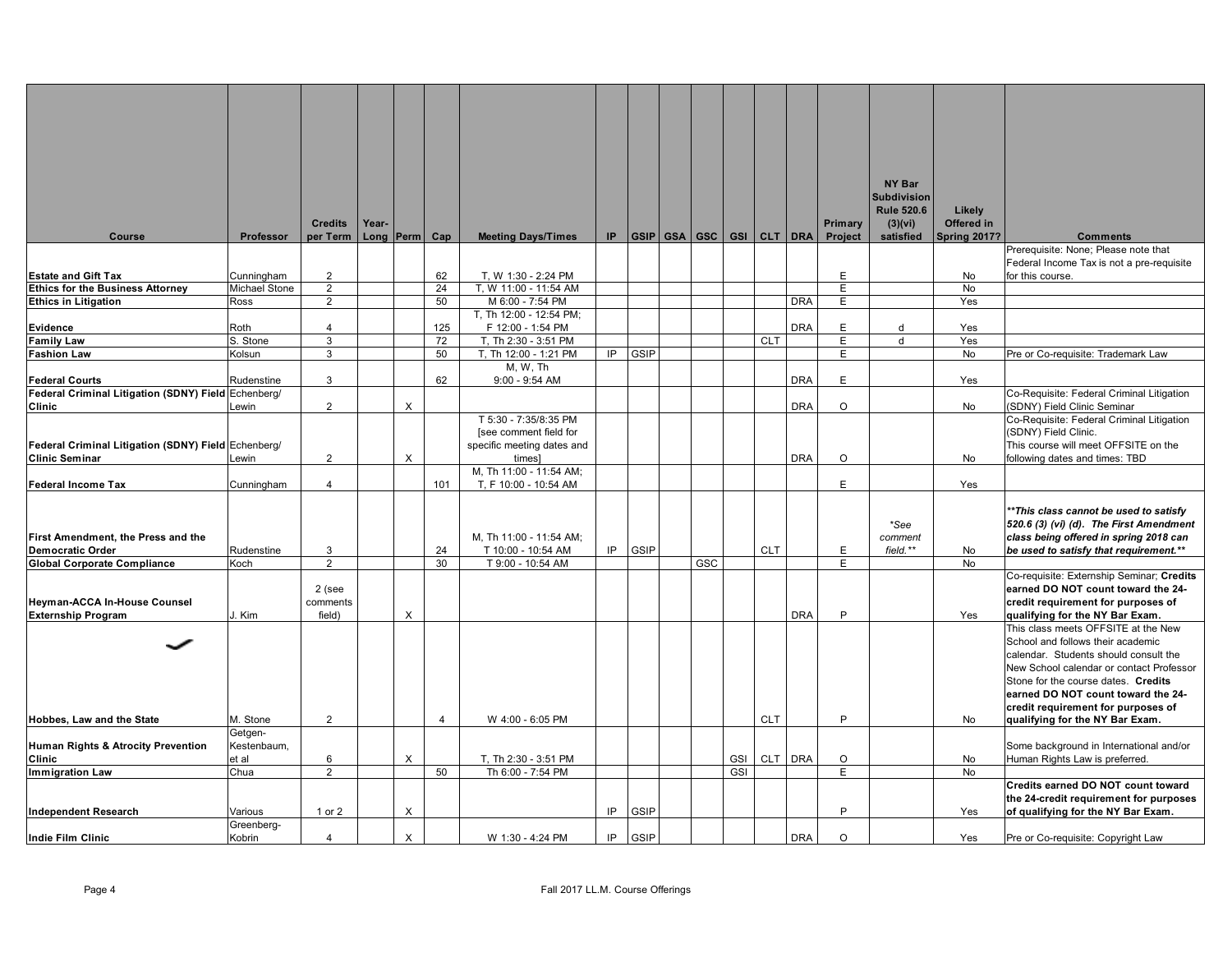|                                                                       |                             |                                  |       |                           |                |                                                  |    |             |     |                                |                                                 |            |         | NY Bar                       |                      |                                                                                   |
|-----------------------------------------------------------------------|-----------------------------|----------------------------------|-------|---------------------------|----------------|--------------------------------------------------|----|-------------|-----|--------------------------------|-------------------------------------------------|------------|---------|------------------------------|----------------------|-----------------------------------------------------------------------------------|
|                                                                       |                             |                                  |       |                           |                |                                                  |    |             |     |                                |                                                 |            |         | <b>Subdivision</b>           |                      |                                                                                   |
|                                                                       |                             | <b>Credits</b>                   | Year- |                           |                |                                                  |    |             |     |                                |                                                 |            | Primary | <b>Rule 520.6</b><br>(3)(vi) | Likely<br>Offered in |                                                                                   |
| <b>Course</b>                                                         | Professor                   | per Term                         |       | Long Perm Cap             |                | <b>Meeting Days/Times</b>                        |    |             |     |                                | $IP$ $ GSIP $ $GSA$ $ GSC $ $GSI$ $ CLT $ $DRA$ |            | Project | satisfied                    | <b>Spring 2017?</b>  | <b>Comments</b>                                                                   |
|                                                                       |                             |                                  |       |                           |                |                                                  |    |             |     |                                |                                                 |            |         |                              |                      | Prerequisite: None; Please note that                                              |
|                                                                       |                             |                                  |       |                           |                |                                                  |    |             |     |                                |                                                 |            |         |                              |                      | Federal Income Tax is not a pre-requisite                                         |
| <b>Estate and Gift Tax</b><br><b>Ethics for the Business Attorney</b> | Cunningham<br>Michael Stone | $\overline{2}$<br>$\overline{2}$ |       |                           | 62<br>24       | T. W 1:30 - 2:24 PM<br>T, W 11:00 - 11:54 AM     |    |             |     |                                |                                                 |            | E.<br>E |                              | No<br>No             | for this course.                                                                  |
| <b>Ethics in Litigation</b>                                           | Ross                        | $\overline{2}$                   |       |                           | 50             | M 6:00 - 7:54 PM                                 |    |             |     |                                |                                                 | <b>DRA</b> | E       |                              | Yes                  |                                                                                   |
|                                                                       |                             |                                  |       |                           |                | T, Th 12:00 - 12:54 PM;                          |    |             |     |                                |                                                 |            |         |                              |                      |                                                                                   |
| <b>Evidence</b>                                                       | Roth                        | 4                                |       |                           | 125            | F 12:00 - 1:54 PM                                |    |             |     |                                |                                                 | <b>DRA</b> | E       | d                            | Yes                  |                                                                                   |
| <b>Family Law</b>                                                     | S. Stone                    | 3                                |       |                           | 72             | T, Th 2:30 - 3:51 PM                             |    |             |     |                                | <b>CLT</b>                                      |            | E       | d                            | Yes                  |                                                                                   |
| <b>Fashion Law</b>                                                    | Kolsun                      | 3                                |       |                           | 50             | T, Th 12:00 - 1:21 PM                            | IP | GSIP        |     |                                |                                                 |            | E.      |                              | <b>No</b>            | Pre or Co-requisite: Trademark Law                                                |
| <b>Federal Courts</b>                                                 | Rudenstine                  | 3                                |       |                           | 62             | M, W, Th<br>$9:00 - 9:54$ AM                     |    |             |     |                                |                                                 | <b>DRA</b> | E       |                              | Yes                  |                                                                                   |
| Federal Criminal Litigation (SDNY) Field Echenberg/                   |                             |                                  |       |                           |                |                                                  |    |             |     |                                |                                                 |            |         |                              |                      | Co-Requisite: Federal Criminal Litigation                                         |
| Clinic                                                                | Lewin                       | $\overline{2}$                   |       | $\times$                  |                |                                                  |    |             |     |                                |                                                 | <b>DRA</b> | $\circ$ |                              | No                   | (SDNY) Field Clinic Seminar                                                       |
|                                                                       |                             |                                  |       |                           |                | T 5:30 - 7:35/8:35 PM                            |    |             |     |                                |                                                 |            |         |                              |                      | Co-Requisite: Federal Criminal Litigation                                         |
|                                                                       |                             |                                  |       |                           |                | [see comment field for                           |    |             |     |                                |                                                 |            |         |                              |                      | (SDNY) Field Clinic.                                                              |
| Federal Criminal Litigation (SDNY) Field Echenberg/                   |                             |                                  |       |                           |                | specific meeting dates and                       |    |             |     |                                |                                                 |            |         |                              |                      | This course will meet OFFSITE on the                                              |
| <b>Clinic Seminar</b>                                                 | Lewin                       | $\overline{2}$                   |       | X                         |                | times]                                           |    |             |     |                                |                                                 | <b>DRA</b> | O       |                              | No                   | following dates and times: TBD                                                    |
| <b>Federal Income Tax</b>                                             | Cunningham                  | 4                                |       |                           | 101            | M, Th 11:00 - 11:54 AM;<br>T, F 10:00 - 10:54 AM |    |             |     |                                |                                                 |            | E.      |                              | Yes                  |                                                                                   |
|                                                                       |                             |                                  |       |                           |                |                                                  |    |             |     |                                |                                                 |            |         |                              |                      |                                                                                   |
|                                                                       |                             |                                  |       |                           |                |                                                  |    |             |     |                                |                                                 |            |         |                              |                      | *This class cannot be used to satisfy                                             |
|                                                                       |                             |                                  |       |                           |                |                                                  |    |             |     |                                |                                                 |            |         | *See                         |                      | 520.6 (3) (vi) (d). The First Amendment                                           |
| First Amendment, the Press and the                                    |                             |                                  |       |                           |                | M, Th 11:00 - 11:54 AM;                          |    |             |     |                                |                                                 |            |         | comment                      |                      | class being offered in spring 2018 can                                            |
| <b>Democratic Order</b>                                               | Rudenstine                  | 3<br>$\overline{2}$              |       |                           | 24             | T 10:00 - 10:54 AM                               | IP | GSIP        |     |                                | <b>CLT</b>                                      |            | E.      | field.**                     | No                   | be used to satisfy that requirement.**                                            |
| <b>Global Corporate Compliance</b>                                    | Koch                        |                                  |       |                           | 30             | T 9:00 - 10:54 AM                                |    |             | GSC |                                |                                                 |            | E       |                              | No                   | Co-requisite: Externship Seminar; Credits                                         |
|                                                                       |                             | 2 (see                           |       |                           |                |                                                  |    |             |     |                                |                                                 |            |         |                              |                      | earned DO NOT count toward the 24-                                                |
| <b>Heyman-ACCA In-House Counsel</b>                                   |                             | comments                         |       |                           |                |                                                  |    |             |     |                                |                                                 |            |         |                              |                      | credit requirement for purposes of                                                |
| <b>Externship Program</b>                                             | J. Kim                      | field)                           |       | $\boldsymbol{\mathsf{X}}$ |                |                                                  |    |             |     |                                |                                                 | <b>DRA</b> | P       |                              | Yes                  | qualifying for the NY Bar Exam.                                                   |
|                                                                       |                             |                                  |       |                           |                |                                                  |    |             |     |                                |                                                 |            |         |                              |                      | This class meets OFFSITE at the New                                               |
|                                                                       |                             |                                  |       |                           |                |                                                  |    |             |     |                                |                                                 |            |         |                              |                      | School and follows their academic                                                 |
|                                                                       |                             |                                  |       |                           |                |                                                  |    |             |     |                                |                                                 |            |         |                              |                      | calendar. Students should consult the<br>New School calendar or contact Professor |
|                                                                       |                             |                                  |       |                           |                |                                                  |    |             |     |                                |                                                 |            |         |                              |                      | Stone for the course dates. Credits                                               |
|                                                                       |                             |                                  |       |                           |                |                                                  |    |             |     |                                |                                                 |            |         |                              |                      | earned DO NOT count toward the 24-                                                |
|                                                                       |                             |                                  |       |                           |                |                                                  |    |             |     |                                |                                                 |            |         |                              |                      | credit requirement for purposes of                                                |
| Hobbes, Law and the State                                             | M. Stone                    | $\overline{2}$                   |       |                           | $\overline{4}$ | W 4:00 - 6:05 PM                                 |    |             |     |                                | <b>CLT</b>                                      |            | P       |                              | No                   | qualifying for the NY Bar Exam.                                                   |
|                                                                       | Getgen-                     |                                  |       |                           |                |                                                  |    |             |     |                                |                                                 |            |         |                              |                      |                                                                                   |
| Human Rights & Atrocity Prevention                                    | Kestenbaum,<br>et al        | 6                                |       |                           |                |                                                  |    |             |     |                                |                                                 | CLT DRA    | $\circ$ |                              |                      | Some background in International and/or                                           |
| Clinic<br><b>Immigration Law</b>                                      | Chua                        | 2                                |       | X                         | 50             | T, Th 2:30 - 3:51 PM<br>Th 6:00 - 7:54 PM        |    |             |     | GSI <sup>I</sup><br><b>GSI</b> |                                                 |            | E       |                              | No<br>No             | Human Rights Law is preferred.                                                    |
|                                                                       |                             |                                  |       |                           |                |                                                  |    |             |     |                                |                                                 |            |         |                              |                      | Credits earned DO NOT count toward                                                |
|                                                                       |                             |                                  |       |                           |                |                                                  |    |             |     |                                |                                                 |            |         |                              |                      | the 24-credit requirement for purposes                                            |
| <b>Independent Research</b>                                           | Various                     | 1 or 2                           |       | X                         |                |                                                  | IP | GSIP        |     |                                |                                                 |            | P       |                              | Yes                  | of qualifying for the NY Bar Exam.                                                |
|                                                                       | Greenberg-                  |                                  |       |                           |                |                                                  |    |             |     |                                |                                                 |            |         |                              |                      |                                                                                   |
| <b>Indie Film Clinic</b>                                              | Kobrin                      | $\overline{\mathbf{A}}$          |       | $\times$                  |                | W 1:30 - 4:24 PM                                 | IP | <b>GSIP</b> |     |                                |                                                 | <b>DRA</b> | $\circ$ |                              | Yes                  | Pre or Co-requisite: Copyright Law                                                |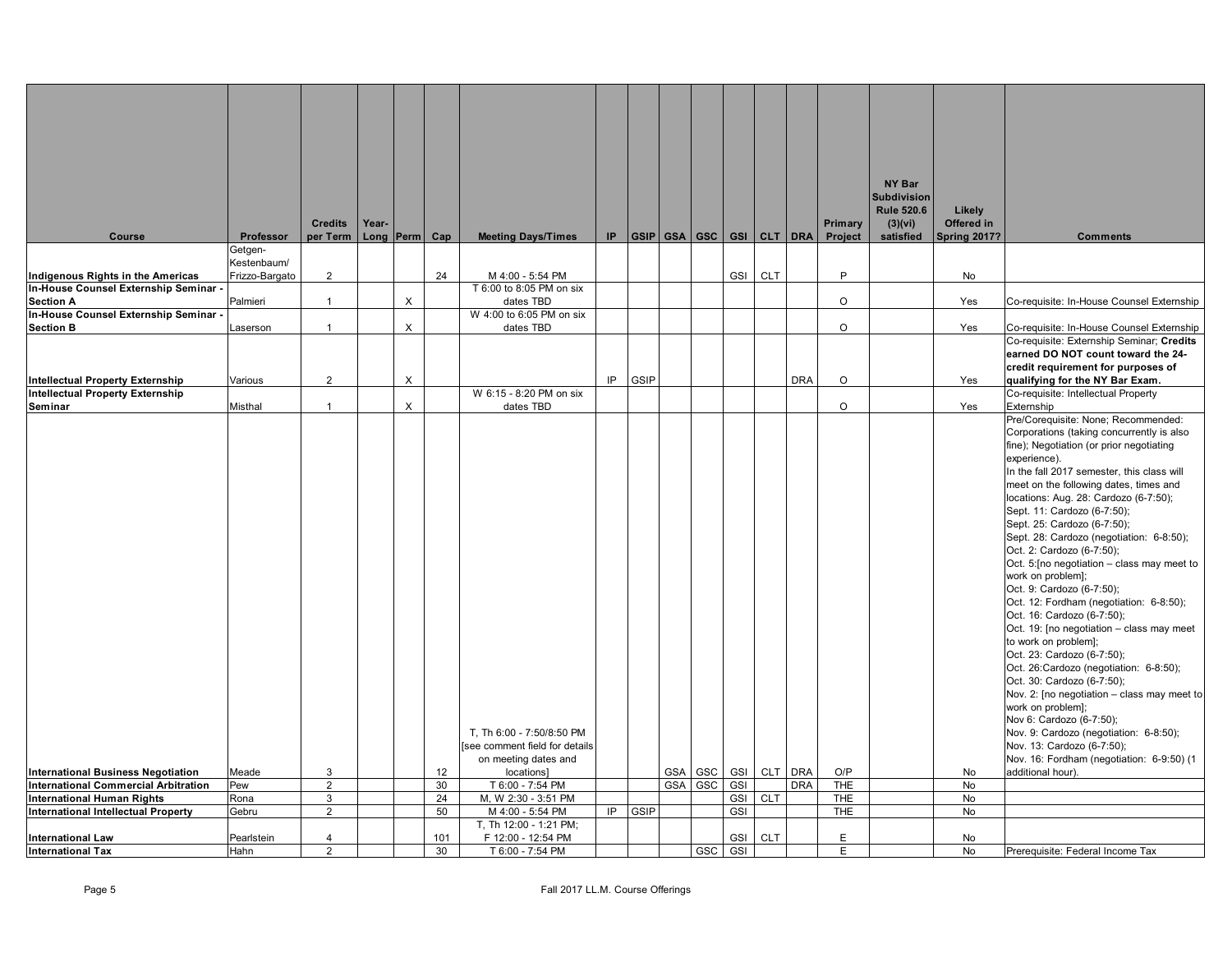|                                             |                |                |       |                |     |                               |     |             |         |            |            |                          |            | NY Bar             |                     |                                                                      |
|---------------------------------------------|----------------|----------------|-------|----------------|-----|-------------------------------|-----|-------------|---------|------------|------------|--------------------------|------------|--------------------|---------------------|----------------------------------------------------------------------|
|                                             |                |                |       |                |     |                               |     |             |         |            |            |                          |            | <b>Subdivision</b> |                     |                                                                      |
|                                             |                |                |       |                |     |                               |     |             |         |            |            |                          |            | <b>Rule 520.6</b>  | Likely              |                                                                      |
|                                             |                | <b>Credits</b> | Year- |                |     |                               |     |             |         |            |            |                          | Primary    | (3)(vi)            | Offered in          |                                                                      |
| <b>Course</b>                               | Professor      | per Term       |       | Long Perm Cap  |     | <b>Meeting Days/Times</b>     | IP. |             |         |            |            | GSIP GSA GSC GSI CLT DRA | Project    | satisfied          | <b>Spring 2017?</b> | <b>Comments</b>                                                      |
|                                             | Getgen-        |                |       |                |     |                               |     |             |         |            |            |                          |            |                    |                     |                                                                      |
|                                             | Kestenbaum/    |                |       |                |     |                               |     |             |         |            |            |                          |            |                    |                     |                                                                      |
| Indigenous Rights in the Americas           | Frizzo-Bargato | $\overline{2}$ |       |                | 24  | M 4:00 - 5:54 PM              |     |             |         | <b>GSI</b> | <b>CLT</b> |                          | P          |                    | No                  |                                                                      |
| In-House Counsel Externship Seminar -       |                |                |       |                |     | T 6:00 to 8:05 PM on six      |     |             |         |            |            |                          |            |                    |                     |                                                                      |
| <b>Section A</b>                            | Palmieri       | $\overline{1}$ |       | $\times$       |     | dates TBD                     |     |             |         |            |            |                          | $\circ$    |                    | Yes                 | Co-requisite: In-House Counsel Externship                            |
| In-House Counsel Externship Seminar -       |                |                |       |                |     | W 4:00 to 6:05 PM on six      |     |             |         |            |            |                          |            |                    |                     |                                                                      |
| <b>Section B</b>                            | Laserson       | $\mathbf{1}$   |       | $\pmb{\times}$ |     | dates TBD                     |     |             |         |            |            |                          | $\circ$    |                    | Yes                 | Co-requisite: In-House Counsel Externship                            |
|                                             |                |                |       |                |     |                               |     |             |         |            |            |                          |            |                    |                     | Co-requisite: Externship Seminar; Credits                            |
|                                             |                |                |       |                |     |                               |     |             |         |            |            |                          |            |                    |                     | earned DO NOT count toward the 24-                                   |
|                                             |                |                |       |                |     |                               |     |             |         |            |            |                          |            |                    |                     | credit requirement for purposes of                                   |
| <b>Intellectual Property Externship</b>     | Various        | 2              |       | X              |     |                               | IP  | GSIP        |         |            |            | <b>DRA</b>               | $\circ$    |                    | Yes                 | qualifying for the NY Bar Exam.                                      |
| Intellectual Property Externship            |                |                |       |                |     | W 6:15 - 8:20 PM on six       |     |             |         |            |            |                          |            |                    |                     | Co-requisite: Intellectual Property                                  |
| Seminar                                     | Misthal        | $\mathbf{1}$   |       | $\times$       |     | dates TBD                     |     |             |         |            |            |                          | $\circ$    |                    | Yes                 | Externship                                                           |
|                                             |                |                |       |                |     |                               |     |             |         |            |            |                          |            |                    |                     | Pre/Corequisite: None; Recommended:                                  |
|                                             |                |                |       |                |     |                               |     |             |         |            |            |                          |            |                    |                     | Corporations (taking concurrently is also                            |
|                                             |                |                |       |                |     |                               |     |             |         |            |            |                          |            |                    |                     | fine); Negotiation (or prior negotiating                             |
|                                             |                |                |       |                |     |                               |     |             |         |            |            |                          |            |                    |                     | experience).                                                         |
|                                             |                |                |       |                |     |                               |     |             |         |            |            |                          |            |                    |                     | In the fall 2017 semester, this class will                           |
|                                             |                |                |       |                |     |                               |     |             |         |            |            |                          |            |                    |                     | meet on the following dates, times and                               |
|                                             |                |                |       |                |     |                               |     |             |         |            |            |                          |            |                    |                     | locations: Aug. 28: Cardozo (6-7:50);                                |
|                                             |                |                |       |                |     |                               |     |             |         |            |            |                          |            |                    |                     | Sept. 11: Cardozo (6-7:50);                                          |
|                                             |                |                |       |                |     |                               |     |             |         |            |            |                          |            |                    |                     | Sept. 25: Cardozo (6-7:50);                                          |
|                                             |                |                |       |                |     |                               |     |             |         |            |            |                          |            |                    |                     | Sept. 28: Cardozo (negotiation: 6-8:50);                             |
|                                             |                |                |       |                |     |                               |     |             |         |            |            |                          |            |                    |                     | Oct. 2: Cardozo (6-7:50);                                            |
|                                             |                |                |       |                |     |                               |     |             |         |            |            |                          |            |                    |                     | Oct. 5: [no negotiation - class may meet to                          |
|                                             |                |                |       |                |     |                               |     |             |         |            |            |                          |            |                    |                     | work on problem];                                                    |
|                                             |                |                |       |                |     |                               |     |             |         |            |            |                          |            |                    |                     | Oct. 9: Cardozo (6-7:50);                                            |
|                                             |                |                |       |                |     |                               |     |             |         |            |            |                          |            |                    |                     | Oct. 12: Fordham (negotiation: 6-8:50);                              |
|                                             |                |                |       |                |     |                               |     |             |         |            |            |                          |            |                    |                     | Oct. 16: Cardozo (6-7:50);                                           |
|                                             |                |                |       |                |     |                               |     |             |         |            |            |                          |            |                    |                     | Oct. 19: [no negotiation - class may meet<br>to work on problem];    |
|                                             |                |                |       |                |     |                               |     |             |         |            |            |                          |            |                    |                     | Oct. 23: Cardozo (6-7:50);                                           |
|                                             |                |                |       |                |     |                               |     |             |         |            |            |                          |            |                    |                     |                                                                      |
|                                             |                |                |       |                |     |                               |     |             |         |            |            |                          |            |                    |                     | Oct. 26:Cardozo (negotiation: 6-8:50);<br>Oct. 30: Cardozo (6-7:50); |
|                                             |                |                |       |                |     |                               |     |             |         |            |            |                          |            |                    |                     | Nov. 2: [no negotiation - class may meet to                          |
|                                             |                |                |       |                |     |                               |     |             |         |            |            |                          |            |                    |                     | work on problem];                                                    |
|                                             |                |                |       |                |     |                               |     |             |         |            |            |                          |            |                    |                     | Nov 6: Cardozo (6-7:50);                                             |
|                                             |                |                |       |                |     | T, Th 6:00 - 7:50/8:50 PM     |     |             |         |            |            |                          |            |                    |                     | Nov. 9: Cardozo (negotiation: 6-8:50);                               |
|                                             |                |                |       |                |     | see comment field for details |     |             |         |            |            |                          |            |                    |                     | Nov. 13: Cardozo (6-7:50);                                           |
|                                             |                |                |       |                |     | on meeting dates and          |     |             |         |            |            |                          |            |                    |                     | Nov. 16: Fordham (negotiation: 6-9:50) (1                            |
| <b>International Business Negotiation</b>   | Meade          | 3              |       |                | 12  | locations]                    |     |             | GSA GSC | <b>GSI</b> |            | CLT DRA                  | O/P        |                    | No                  | additional hour).                                                    |
| <b>International Commercial Arbitration</b> | Pew            | $\overline{2}$ |       |                | 30  | T 6:00 - 7:54 PM              |     |             | GSA GSC | GSI        |            | <b>DRA</b>               | <b>THE</b> |                    | No                  |                                                                      |
| <b>International Human Rights</b>           | Rona           | 3              |       |                | 24  | M, W 2:30 - 3:51 PM           |     |             |         | GSI        | <b>CLT</b> |                          | <b>THE</b> |                    | No                  |                                                                      |
| <b>International Intellectual Property</b>  | Gebru          | $\overline{2}$ |       |                | 50  | M 4:00 - 5:54 PM              | IP. | <b>GSIP</b> |         | GSI        |            |                          | <b>THE</b> |                    | No                  |                                                                      |
|                                             |                |                |       |                |     | T, Th 12:00 - 1:21 PM;        |     |             |         |            |            |                          |            |                    |                     |                                                                      |
| <b>International Law</b>                    | Pearlstein     | $\overline{4}$ |       |                | 101 | F 12:00 - 12:54 PM            |     |             |         | GSI        | <b>CLT</b> |                          | F          |                    | No                  |                                                                      |
| <b>International Tax</b>                    | Hahn           | $\overline{2}$ |       |                | 30  | T 6:00 - 7:54 PM              |     |             | GSC     | <b>GSI</b> |            |                          | E          |                    | No                  | Prerequisite: Federal Income Tax                                     |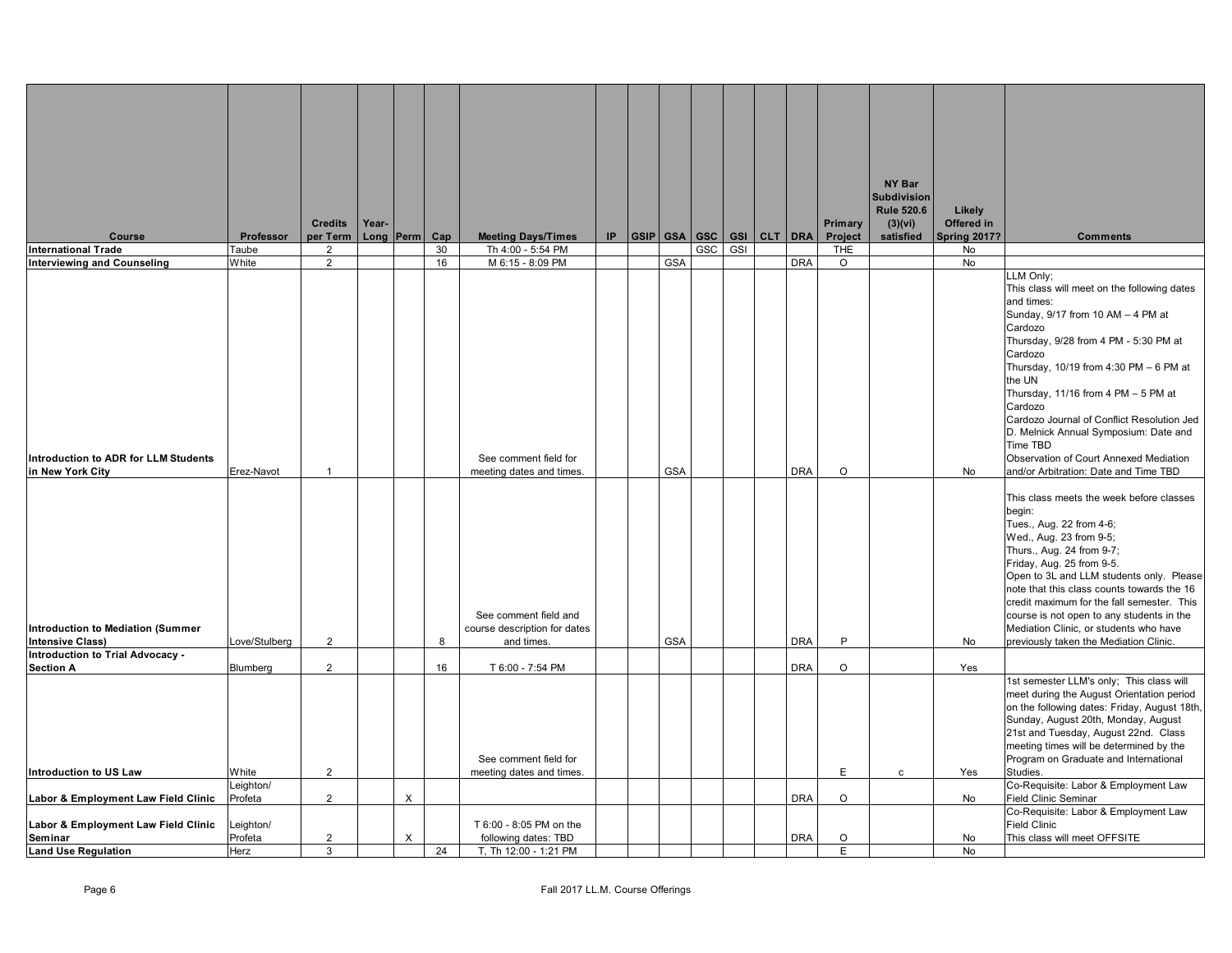|                                                                     |                      |                            |       |           |           |                                                                     |     |                |     |     |             |            |                | NY Bar                           |                           |                                                                                                                                                                                                                                                                                                          |
|---------------------------------------------------------------------|----------------------|----------------------------|-------|-----------|-----------|---------------------------------------------------------------------|-----|----------------|-----|-----|-------------|------------|----------------|----------------------------------|---------------------------|----------------------------------------------------------------------------------------------------------------------------------------------------------------------------------------------------------------------------------------------------------------------------------------------------------|
|                                                                     |                      |                            |       |           |           |                                                                     |     |                |     |     |             |            |                | Subdivision<br><b>Rule 520.6</b> | Likely                    |                                                                                                                                                                                                                                                                                                          |
|                                                                     |                      | <b>Credits</b>             | Year- |           |           |                                                                     | IP. |                |     |     |             |            | Primary        | (3)(vi)                          | Offered in                |                                                                                                                                                                                                                                                                                                          |
| <b>Course</b><br><b>International Trade</b>                         | Professor<br>Taube   | per Term<br>$\overline{2}$ |       | Long Perm | Cap<br>30 | <b>Meeting Days/Times</b><br>Th 4:00 - 5:54 PM                      |     | GSIP GSA   GSC | GSC | GSI | GSI CLT DRA |            | Project<br>THE | satisfied                        | <b>Spring 2017?</b><br>No | <b>Comments</b>                                                                                                                                                                                                                                                                                          |
| <b>Interviewing and Counseling</b>                                  | White                | $\overline{2}$             |       |           | 16        | M 6:15 - 8:09 PM                                                    |     | <b>GSA</b>     |     |     |             | <b>DRA</b> | $\circ$        |                                  | No                        |                                                                                                                                                                                                                                                                                                          |
|                                                                     |                      |                            |       |           |           |                                                                     |     |                |     |     |             |            |                |                                  |                           | LLM Only;<br>This class will meet on the following dates<br>and times:<br>Sunday, 9/17 from 10 AM - 4 PM at<br>Cardozo                                                                                                                                                                                   |
|                                                                     |                      |                            |       |           |           |                                                                     |     |                |     |     |             |            |                |                                  |                           | Thursday, 9/28 from 4 PM - 5:30 PM at<br>Cardozo<br>Thursday, 10/19 from 4:30 PM - 6 PM at<br>the UN<br>Thursday, 11/16 from 4 PM - 5 PM at<br>Cardozo                                                                                                                                                   |
| <b>Introduction to ADR for LLM Students</b><br>in New York City     | Erez-Navot           | $\overline{1}$             |       |           |           | See comment field for<br>meeting dates and times.                   |     | <b>GSA</b>     |     |     |             | <b>DRA</b> | $\circ$        |                                  | No                        | Cardozo Journal of Conflict Resolution Jed<br>D. Melnick Annual Symposium: Date and<br>Time TBD<br>Observation of Court Annexed Mediation<br>and/or Arbitration: Date and Time TBD                                                                                                                       |
|                                                                     |                      |                            |       |           |           |                                                                     |     |                |     |     |             |            |                |                                  |                           | This class meets the week before classes<br>begin:<br>Tues., Aug. 22 from 4-6;<br>Wed., Aug. 23 from 9-5;<br>Thurs., Aug. 24 from 9-7;<br>Friday, Aug. 25 from 9-5.<br>Open to 3L and LLM students only. Please                                                                                          |
| <b>Introduction to Mediation (Summer</b><br><b>Intensive Class)</b> | .ove/Stulberg        | $\overline{2}$             |       |           | 8         | See comment field and<br>course description for dates<br>and times. |     | <b>GSA</b>     |     |     |             | <b>DRA</b> | P              |                                  | No                        | note that this class counts towards the 16<br>credit maximum for the fall semester. This<br>course is not open to any students in the<br>Mediation Clinic, or students who have<br>previously taken the Mediation Clinic.                                                                                |
| Introduction to Trial Advocacy -<br><b>Section A</b>                | Blumberg             | $\overline{2}$             |       |           | 16        | T 6:00 - 7:54 PM                                                    |     |                |     |     |             | <b>DRA</b> | $\circ$        |                                  | Yes                       |                                                                                                                                                                                                                                                                                                          |
|                                                                     |                      |                            |       |           |           | See comment field for                                               |     |                |     |     |             |            |                |                                  |                           | 1st semester LLM's only; This class will<br>meet during the August Orientation period<br>on the following dates: Friday, August 18th,<br>Sunday, August 20th, Monday, August<br>21st and Tuesday, August 22nd. Class<br>meeting times will be determined by the<br>Program on Graduate and International |
| Introduction to US Law                                              | White                | $\overline{2}$             |       |           |           | meeting dates and times.                                            |     |                |     |     |             |            | E              | c                                | Yes                       | Studies.                                                                                                                                                                                                                                                                                                 |
| Labor & Employment Law Field Clinic                                 | _eighton/<br>Profeta | $\overline{2}$             |       | X         |           |                                                                     |     |                |     |     |             | <b>DRA</b> | $\circ$        |                                  | No                        | Co-Requisite: Labor & Employment Law<br>Field Clinic Seminar                                                                                                                                                                                                                                             |
| Labor & Employment Law Field Clinic                                 | Leighton/            |                            |       |           |           | T 6:00 - 8:05 PM on the                                             |     |                |     |     |             |            |                |                                  |                           | Co-Requisite: Labor & Employment Law<br><b>Field Clinic</b>                                                                                                                                                                                                                                              |
| Seminar                                                             | Profeta              | $\overline{2}$             |       | $\times$  |           | following dates: TBD                                                |     |                |     |     |             | <b>DRA</b> | $\circ$        |                                  | No                        | This class will meet OFFSITE                                                                                                                                                                                                                                                                             |
| <b>Land Use Regulation</b>                                          | Herz                 | 3                          |       |           | 24        | T, Th 12:00 - 1:21 PM                                               |     |                |     |     |             |            | E              |                                  | <b>No</b>                 |                                                                                                                                                                                                                                                                                                          |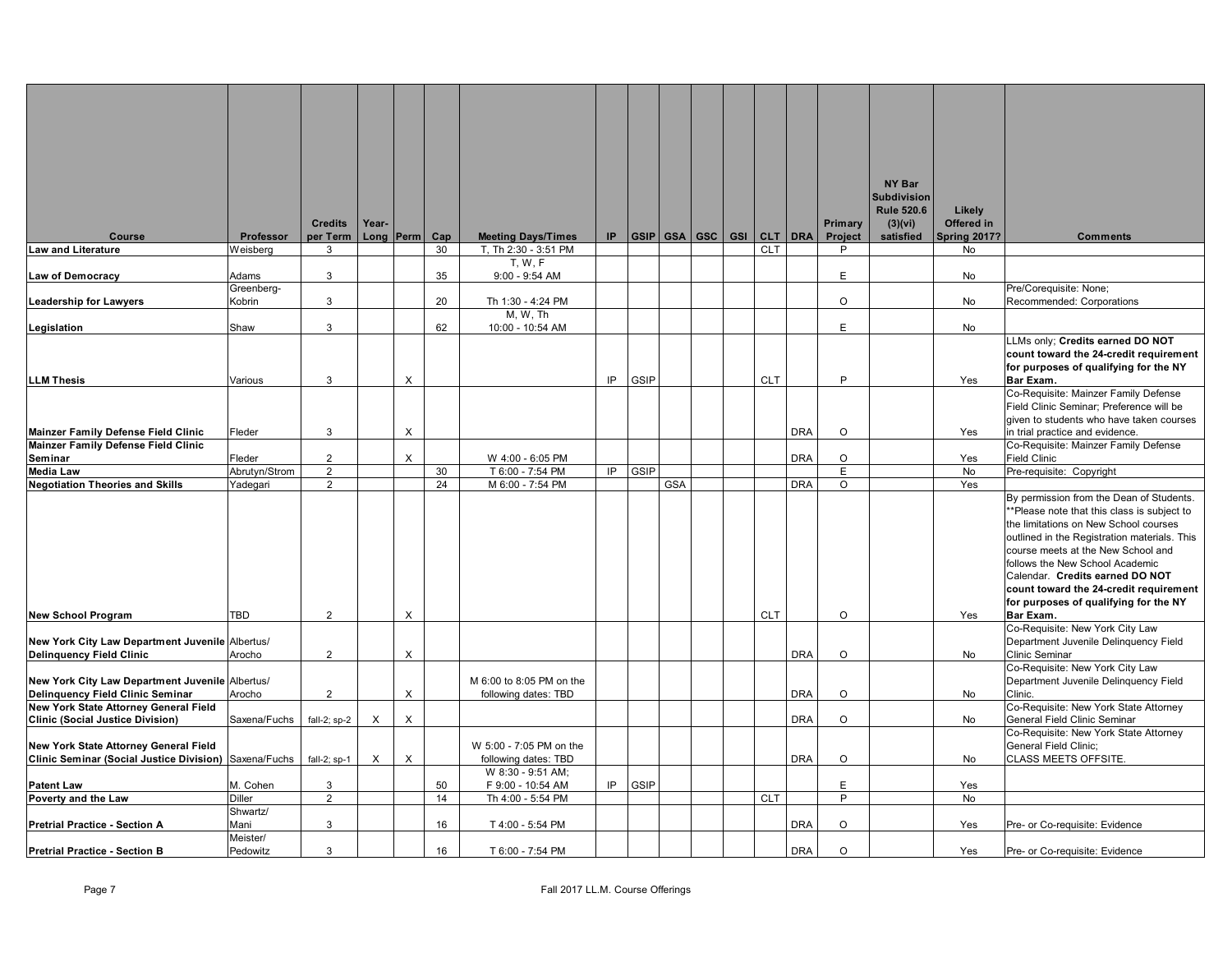|                                                                                                |                           |                                  |          |                |          |                                                  |     |      |            |  |                          |            |              | NY Bar                       |                      |                                                                                    |
|------------------------------------------------------------------------------------------------|---------------------------|----------------------------------|----------|----------------|----------|--------------------------------------------------|-----|------|------------|--|--------------------------|------------|--------------|------------------------------|----------------------|------------------------------------------------------------------------------------|
|                                                                                                |                           |                                  |          |                |          |                                                  |     |      |            |  |                          |            |              | <b>Subdivision</b>           |                      |                                                                                    |
|                                                                                                |                           | <b>Credits</b>                   | Year-    |                |          |                                                  |     |      |            |  |                          |            | Primary      | <b>Rule 520.6</b><br>(3)(vi) | Likely<br>Offered in |                                                                                    |
| <b>Course</b>                                                                                  | Professor                 | per Term                         |          | Long Perm      | Cap      | <b>Meeting Days/Times</b>                        | IP. |      |            |  | GSIP GSA GSC GSI CLT DRA |            | Project      | satisfied                    | <b>Spring 2017?</b>  | <b>Comments</b>                                                                    |
| <b>Law and Literature</b>                                                                      | Weisberg                  | 3                                |          |                | 30       | T, Th 2:30 - 3:51 PM                             |     |      |            |  | <b>CLT</b>               |            | P            |                              | No                   |                                                                                    |
| <b>Law of Democracy</b>                                                                        | Adams                     | 3                                |          |                | 35       | T, W, F<br>$9:00 - 9:54$ AM                      |     |      |            |  |                          |            | E.           |                              | No                   |                                                                                    |
|                                                                                                | Greenberg-                |                                  |          |                |          |                                                  |     |      |            |  |                          |            | $\circ$      |                              |                      | Pre/Corequisite: None;                                                             |
| <b>Leadership for Lawyers</b>                                                                  | Kobrin                    | 3                                |          |                | 20       | Th 1:30 - 4:24 PM<br>M, W, Th                    |     |      |            |  |                          |            |              |                              | No                   | Recommended: Corporations                                                          |
| Legislation                                                                                    | Shaw                      | 3                                |          |                | 62       | 10:00 - 10:54 AM                                 |     |      |            |  |                          |            | E            |                              | No                   |                                                                                    |
|                                                                                                |                           |                                  |          |                |          |                                                  |     |      |            |  |                          |            |              |                              |                      | LLMs only; Credits earned DO NOT<br>count toward the 24-credit requirement         |
|                                                                                                |                           |                                  |          |                |          |                                                  |     |      |            |  |                          |            |              |                              |                      | for purposes of qualifying for the NY                                              |
| <b>LLM Thesis</b>                                                                              | Various                   | 3                                |          | $\pmb{\times}$ |          |                                                  | IP  | GSIP |            |  | <b>CLT</b>               |            | P            |                              | Yes                  | Bar Exam.                                                                          |
|                                                                                                |                           |                                  |          |                |          |                                                  |     |      |            |  |                          |            |              |                              |                      | Co-Requisite: Mainzer Family Defense<br>Field Clinic Seminar; Preference will be   |
|                                                                                                |                           |                                  |          |                |          |                                                  |     |      |            |  |                          |            |              |                              |                      | given to students who have taken courses                                           |
| Mainzer Family Defense Field Clinic                                                            | Fleder                    | 3                                |          | X              |          |                                                  |     |      |            |  |                          | <b>DRA</b> | $\circ$      |                              | Yes                  | in trial practice and evidence.                                                    |
| Mainzer Family Defense Field Clinic                                                            |                           |                                  |          |                |          |                                                  |     |      |            |  |                          |            |              |                              |                      | Co-Requisite: Mainzer Family Defense                                               |
| Seminar<br><b>Media Law</b>                                                                    | Fleder                    | $\overline{2}$<br>$\overline{2}$ |          | $\times$       |          | W 4:00 - 6:05 PM<br>T 6:00 - 7:54 PM             | IP  | GSIP |            |  |                          | <b>DRA</b> | $\circ$<br>E |                              | Yes<br>No            | Field Clinic<br>Pre-requisite: Copyright                                           |
| <b>Negotiation Theories and Skills</b>                                                         | Abrutyn/Strom<br>Yadegari | $\overline{2}$                   |          |                | 30<br>24 | M 6:00 - 7:54 PM                                 |     |      | <b>GSA</b> |  |                          | <b>DRA</b> | $\circ$      |                              | Yes                  |                                                                                    |
|                                                                                                |                           |                                  |          |                |          |                                                  |     |      |            |  |                          |            |              |                              |                      | By permission from the Dean of Students.                                           |
|                                                                                                |                           |                                  |          |                |          |                                                  |     |      |            |  |                          |            |              |                              |                      | **Please note that this class is subject to                                        |
|                                                                                                |                           |                                  |          |                |          |                                                  |     |      |            |  |                          |            |              |                              |                      | the limitations on New School courses                                              |
|                                                                                                |                           |                                  |          |                |          |                                                  |     |      |            |  |                          |            |              |                              |                      | outlined in the Registration materials. This<br>course meets at the New School and |
|                                                                                                |                           |                                  |          |                |          |                                                  |     |      |            |  |                          |            |              |                              |                      | follows the New School Academic                                                    |
|                                                                                                |                           |                                  |          |                |          |                                                  |     |      |            |  |                          |            |              |                              |                      | Calendar. Credits earned DO NOT                                                    |
|                                                                                                |                           |                                  |          |                |          |                                                  |     |      |            |  |                          |            |              |                              |                      | count toward the 24-credit requirement                                             |
|                                                                                                |                           |                                  |          |                |          |                                                  |     |      |            |  |                          |            |              |                              |                      | for purposes of qualifying for the NY                                              |
| <b>New School Program</b>                                                                      | <b>TBD</b>                | $\overline{2}$                   |          | $\pmb{\times}$ |          |                                                  |     |      |            |  | <b>CLT</b>               |            | $\circ$      |                              | Yes                  | Bar Exam.<br>Co-Requisite: New York City Law                                       |
| New York City Law Department Juvenile Albertus/                                                |                           |                                  |          |                |          |                                                  |     |      |            |  |                          |            |              |                              |                      | Department Juvenile Delinquency Field                                              |
| <b>Delinquency Field Clinic</b>                                                                | Arocho                    | $\overline{2}$                   |          | $\pmb{\times}$ |          |                                                  |     |      |            |  |                          | <b>DRA</b> | $\circ$      |                              | No                   | Clinic Seminar                                                                     |
|                                                                                                |                           |                                  |          |                |          |                                                  |     |      |            |  |                          |            |              |                              |                      | Co-Requisite: New York City Law                                                    |
| New York City Law Department Juvenile Albertus/<br>Delinquency Field Clinic Seminar            | Arocho                    | $\overline{2}$                   |          | $\pmb{\times}$ |          | M 6:00 to 8:05 PM on the<br>following dates: TBD |     |      |            |  |                          | <b>DRA</b> | $\circ$      |                              | No                   | Department Juvenile Delinquency Field<br>Clinic.                                   |
| New York State Attorney General Field                                                          |                           |                                  |          |                |          |                                                  |     |      |            |  |                          |            |              |                              |                      | Co-Requisite: New York State Attorney                                              |
| <b>Clinic (Social Justice Division)</b>                                                        | Saxena/Fuchs              | fall-2; sp-2                     | $\times$ | $\times$       |          |                                                  |     |      |            |  |                          | <b>DRA</b> | $\circ$      |                              | No                   | General Field Clinic Seminar                                                       |
|                                                                                                |                           |                                  |          |                |          |                                                  |     |      |            |  |                          |            |              |                              |                      | Co-Requisite: New York State Attorney                                              |
| New York State Attorney General Field<br>Clinic Seminar (Social Justice Division) Saxena/Fuchs |                           | fall-2; sp-1                     | $\times$ | $\times$       |          | W 5:00 - 7:05 PM on the<br>following dates: TBD  |     |      |            |  |                          | <b>DRA</b> | O            |                              | No                   | General Field Clinic;<br>CLASS MEETS OFFSITE.                                      |
|                                                                                                |                           |                                  |          |                |          | W 8:30 - 9:51 AM;                                |     |      |            |  |                          |            |              |                              |                      |                                                                                    |
| <b>Patent Law</b>                                                                              | M. Cohen                  | $\mathbf{3}$                     |          |                | 50       | F 9:00 - 10:54 AM                                | IP  | GSIP |            |  |                          |            | E            |                              | Yes                  |                                                                                    |
| Poverty and the Law                                                                            | <b>Diller</b>             | $\overline{2}$                   |          |                | 14       | Th 4:00 - 5:54 PM                                |     |      |            |  | <b>CLT</b>               |            | P            |                              | <b>No</b>            |                                                                                    |
| <b>Pretrial Practice - Section A</b>                                                           | Shwartz/<br>Mani          | 3                                |          |                | 16       | T 4:00 - 5:54 PM                                 |     |      |            |  |                          | <b>DRA</b> | $\circ$      |                              | Yes                  | Pre- or Co-requisite: Evidence                                                     |
|                                                                                                | Meister/                  |                                  |          |                |          |                                                  |     |      |            |  |                          |            |              |                              |                      |                                                                                    |
| <b>Pretrial Practice - Section B</b>                                                           | Pedowitz                  | 3                                |          |                | 16       | T 6:00 - 7:54 PM                                 |     |      |            |  |                          | <b>DRA</b> | O            |                              | Yes                  | Pre- or Co-requisite: Evidence                                                     |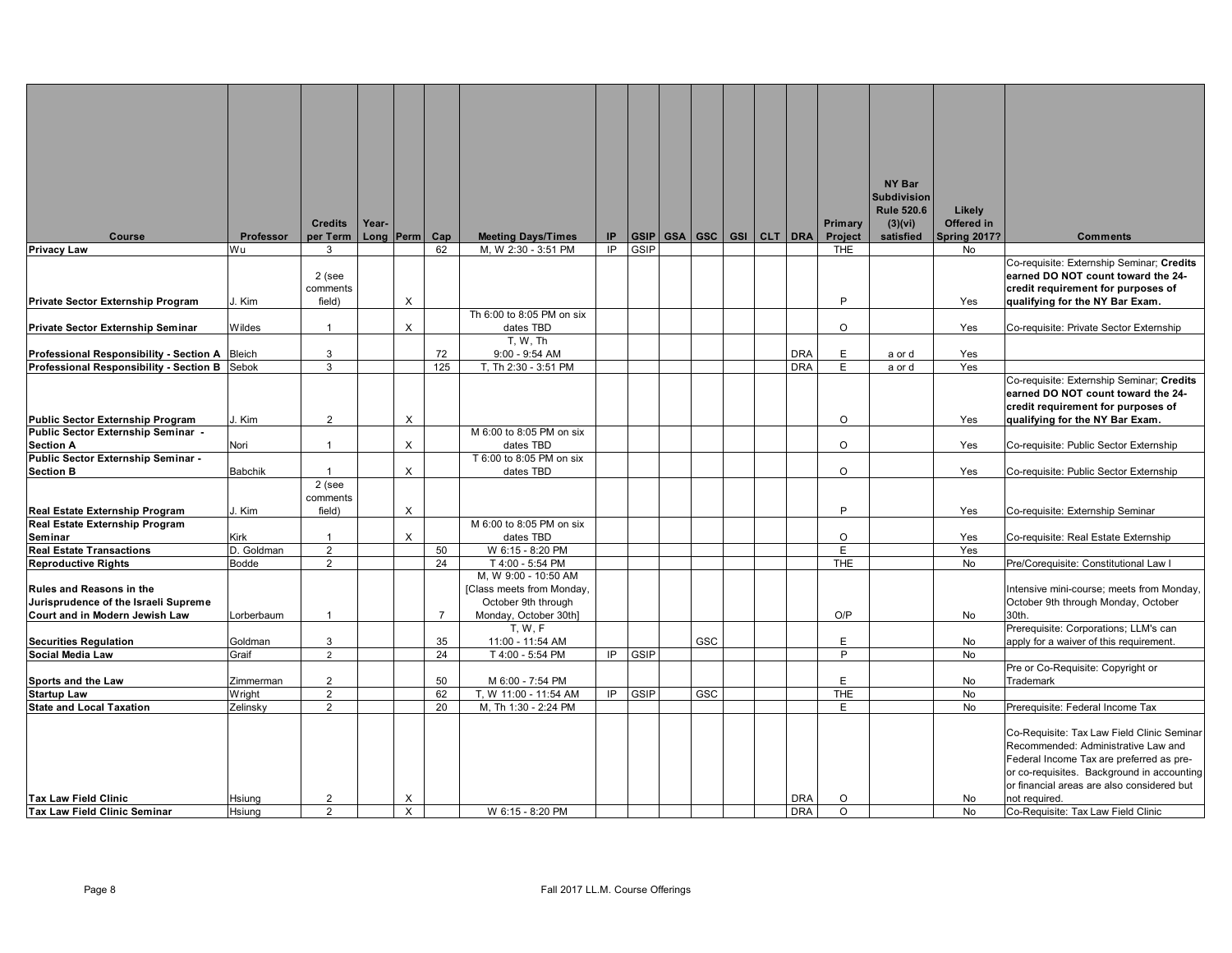|                                               |                |                |       |           |                |                           |     |             |     |                             |            |            | NY Bar             |                     |                                                                                   |
|-----------------------------------------------|----------------|----------------|-------|-----------|----------------|---------------------------|-----|-------------|-----|-----------------------------|------------|------------|--------------------|---------------------|-----------------------------------------------------------------------------------|
|                                               |                |                |       |           |                |                           |     |             |     |                             |            |            | <b>Subdivision</b> |                     |                                                                                   |
|                                               |                |                |       |           |                |                           |     |             |     |                             |            |            | <b>Rule 520.6</b>  | Likely              |                                                                                   |
|                                               |                | <b>Credits</b> | Year- |           |                |                           |     |             |     |                             |            | Primary    | (3)(vi)            | Offered in          |                                                                                   |
| Course                                        | Professor      | per Term       |       | Long Perm | Cap            | <b>Meeting Days/Times</b> | IP. | <b>GSIP</b> |     | GSA   GSC   GSI   CLT   DRA |            | Project    | satisfied          | <b>Spring 2017?</b> | <b>Comments</b>                                                                   |
| <b>Privacy Law</b>                            | Wu             | 3              |       |           | 62             | M, W 2:30 - 3:51 PM       | IP  | GSIP        |     |                             |            | <b>THE</b> |                    | No                  |                                                                                   |
|                                               |                |                |       |           |                |                           |     |             |     |                             |            |            |                    |                     | Co-requisite: Externship Seminar; Credits                                         |
|                                               |                | 2 (see         |       |           |                |                           |     |             |     |                             |            |            |                    |                     | earned DO NOT count toward the 24-                                                |
|                                               |                | comments       |       |           |                |                           |     |             |     |                             |            |            |                    |                     | credit requirement for purposes of                                                |
| Private Sector Externship Program             | J. Kim         | field)         |       | X         |                |                           |     |             |     |                             |            | P          |                    | Yes                 | qualifying for the NY Bar Exam.                                                   |
|                                               |                |                |       |           |                | Th 6:00 to 8:05 PM on six |     |             |     |                             |            |            |                    |                     |                                                                                   |
| <b>Private Sector Externship Seminar</b>      | Wildes         | $\mathbf{1}$   |       | X         |                | dates TBD                 |     |             |     |                             |            | $\circ$    |                    | Yes                 | Co-requisite: Private Sector Externship                                           |
|                                               |                |                |       |           |                | T, W, Th                  |     |             |     |                             |            |            |                    |                     |                                                                                   |
| Professional Responsibility - Section A       | <b>Bleich</b>  | $\mathbf{3}$   |       |           | 72             | $9:00 - 9:54$ AM          |     |             |     |                             | <b>DRA</b> | E          | a or d             | Yes                 |                                                                                   |
| Professional Responsibility - Section B Sebok |                | 3              |       |           | 125            | T, Th 2:30 - 3:51 PM      |     |             |     |                             | <b>DRA</b> | E.         | a or d             | Yes                 |                                                                                   |
|                                               |                |                |       |           |                |                           |     |             |     |                             |            |            |                    |                     | Co-requisite: Externship Seminar; Credits                                         |
|                                               |                |                |       |           |                |                           |     |             |     |                             |            |            |                    |                     | earned DO NOT count toward the 24-                                                |
|                                               |                |                |       |           |                |                           |     |             |     |                             |            |            |                    |                     | credit requirement for purposes of                                                |
| <b>Public Sector Externship Program</b>       | J. Kim         | $\overline{2}$ |       | X         |                |                           |     |             |     |                             |            | $\Omega$   |                    | Yes                 | qualifying for the NY Bar Exam.                                                   |
| Public Sector Externship Seminar -            |                |                |       |           |                | M 6:00 to 8:05 PM on six  |     |             |     |                             |            |            |                    |                     |                                                                                   |
| <b>Section A</b>                              | Nori           | $\mathbf{1}$   |       | X         |                | dates TBD                 |     |             |     |                             |            | $\circ$    |                    | Yes                 | Co-requisite: Public Sector Externship                                            |
| Public Sector Externship Seminar -            |                |                |       |           |                | T 6:00 to 8:05 PM on six  |     |             |     |                             |            |            |                    |                     |                                                                                   |
| <b>Section B</b>                              | <b>Babchik</b> | $\mathbf{1}$   |       | X         |                | dates TBD                 |     |             |     |                             |            | $\circ$    |                    | Yes                 | Co-requisite: Public Sector Externship                                            |
|                                               |                | 2 (see         |       |           |                |                           |     |             |     |                             |            |            |                    |                     |                                                                                   |
|                                               |                | comments       |       |           |                |                           |     |             |     |                             |            |            |                    |                     |                                                                                   |
| Real Estate Externship Program                | J. Kim         | field)         |       | $\times$  |                |                           |     |             |     |                             |            | P          |                    | Yes                 | Co-requisite: Externship Seminar                                                  |
| Real Estate Externship Program                |                |                |       |           |                | M 6:00 to 8:05 PM on six  |     |             |     |                             |            |            |                    |                     |                                                                                   |
| Seminar                                       | Kirk           | $\mathbf{1}$   |       | X         |                | dates TBD                 |     |             |     |                             |            | $\circ$    |                    | Yes                 | Co-requisite: Real Estate Externship                                              |
| <b>Real Estate Transactions</b>               | D. Goldman     | $\overline{2}$ |       |           | 50             | W 6:15 - 8:20 PM          |     |             |     |                             |            | E          |                    | Yes                 |                                                                                   |
| <b>Reproductive Rights</b>                    | Bodde          | $\overline{2}$ |       |           | 24             | T 4:00 - 5:54 PM          |     |             |     |                             |            | <b>THE</b> |                    | <b>No</b>           | Pre/Corequisite: Constitutional Law I                                             |
|                                               |                |                |       |           |                | M, W 9:00 - 10:50 AM      |     |             |     |                             |            |            |                    |                     |                                                                                   |
| <b>Rules and Reasons in the</b>               |                |                |       |           |                | [Class meets from Monday, |     |             |     |                             |            |            |                    |                     | Intensive mini-course; meets from Monday,                                         |
| Jurisprudence of the Israeli Supreme          |                |                |       |           |                | October 9th through       |     |             |     |                             |            |            |                    |                     | October 9th through Monday, October                                               |
| Court and in Modern Jewish Law                | Lorberbaum     | $\overline{1}$ |       |           | $\overline{7}$ | Monday, October 30th]     |     |             |     |                             |            | O/P        |                    | No                  | 30th.                                                                             |
|                                               |                |                |       |           |                | T, W, F                   |     |             |     |                             |            |            |                    |                     | Prerequisite: Corporations; LLM's can                                             |
| <b>Securities Regulation</b>                  | Goldman        | 3              |       |           | 35             | 11:00 - 11:54 AM          |     |             | GSC |                             |            | E          |                    | No                  | apply for a waiver of this requirement.                                           |
| Social Media Law                              | Graif          | $\overline{2}$ |       |           | 24             | T 4:00 - 5:54 PM          | IP. | GSIP        |     |                             |            | P          |                    | <b>No</b>           |                                                                                   |
|                                               |                |                |       |           |                |                           |     |             |     |                             |            |            |                    |                     | Pre or Co-Requisite: Copyright or                                                 |
| Sports and the Law                            | Zimmerman      | $\overline{2}$ |       |           | 50             | M 6:00 - 7:54 PM          |     |             |     |                             |            | E          |                    | No                  | Trademark                                                                         |
| <b>Startup Law</b>                            | Wright         | $\overline{2}$ |       |           | 62             | T, W 11:00 - 11:54 AM     | IP  | GSIP        | GSC |                             |            | <b>THE</b> |                    | <b>No</b>           |                                                                                   |
| <b>State and Local Taxation</b>               | Zelinsky       | 2              |       |           | 20             | M, Th 1:30 - 2:24 PM      |     |             |     |                             |            | E.         |                    | <b>No</b>           | Prerequisite: Federal Income Tax                                                  |
|                                               |                |                |       |           |                |                           |     |             |     |                             |            |            |                    |                     |                                                                                   |
|                                               |                |                |       |           |                |                           |     |             |     |                             |            |            |                    |                     |                                                                                   |
|                                               |                |                |       |           |                |                           |     |             |     |                             |            |            |                    |                     | Co-Requisite: Tax Law Field Clinic Seminar<br>Recommended: Administrative Law and |
|                                               |                |                |       |           |                |                           |     |             |     |                             |            |            |                    |                     |                                                                                   |
|                                               |                |                |       |           |                |                           |     |             |     |                             |            |            |                    |                     | Federal Income Tax are preferred as pre-                                          |
|                                               |                |                |       |           |                |                           |     |             |     |                             |            |            |                    |                     | or co-requisites. Background in accounting                                        |
|                                               |                |                |       |           |                |                           |     |             |     |                             |            |            |                    |                     | or financial areas are also considered but                                        |
| <b>Tax Law Field Clinic</b>                   | <b>Hsiung</b>  | $\overline{2}$ |       | X         |                |                           |     |             |     |                             | <b>DRA</b> | $\circ$    |                    | <b>No</b>           | not required.                                                                     |
| Tax Law Field Clinic Seminar                  | Hsiung         | 2              |       | $\times$  |                | W 6:15 - 8:20 PM          |     |             |     |                             | <b>DRA</b> | $\Omega$   |                    | <b>No</b>           | Co-Requisite: Tax Law Field Clinic                                                |